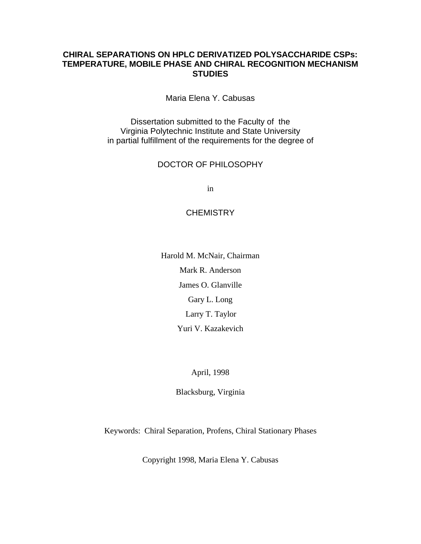### **CHIRAL SEPARATIONS ON HPLC DERIVATIZED POLYSACCHARIDE CSPs: TEMPERATURE, MOBILE PHASE AND CHIRAL RECOGNITION MECHANISM STUDIES**

Maria Elena Y. Cabusas

Dissertation submitted to the Faculty of the Virginia Polytechnic Institute and State University in partial fulfillment of the requirements for the degree of

#### DOCTOR OF PHILOSOPHY

in

#### **CHEMISTRY**

Harold M. McNair, Chairman Mark R. Anderson James O. Glanville Gary L. Long Larry T. Taylor Yuri V. Kazakevich

April, 1998

Blacksburg, Virginia

Keywords: Chiral Separation, Profens, Chiral Stationary Phases

Copyright 1998, Maria Elena Y. Cabusas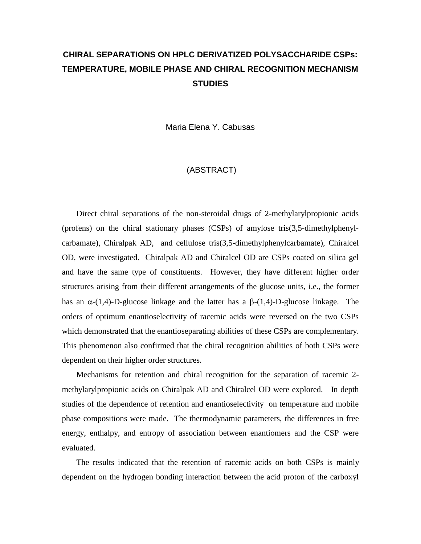# **CHIRAL SEPARATIONS ON HPLC DERIVATIZED POLYSACCHARIDE CSPs: TEMPERATURE, MOBILE PHASE AND CHIRAL RECOGNITION MECHANISM STUDIES**

Maria Elena Y. Cabusas

#### (ABSTRACT)

 Direct chiral separations of the non-steroidal drugs of 2-methylarylpropionic acids (profens) on the chiral stationary phases (CSPs) of amylose tris(3,5-dimethylphenylcarbamate), Chiralpak AD, and cellulose tris(3,5-dimethylphenylcarbamate), Chiralcel OD, were investigated. Chiralpak AD and Chiralcel OD are CSPs coated on silica gel and have the same type of constituents. However, they have different higher order structures arising from their different arrangements of the glucose units, i.e., the former has an  $\alpha$ -(1,4)-D-glucose linkage and the latter has a  $\beta$ -(1,4)-D-glucose linkage. The orders of optimum enantioselectivity of racemic acids were reversed on the two CSPs which demonstrated that the enantioseparating abilities of these CSPs are complementary. This phenomenon also confirmed that the chiral recognition abilities of both CSPs were dependent on their higher order structures.

 Mechanisms for retention and chiral recognition for the separation of racemic 2 methylarylpropionic acids on Chiralpak AD and Chiralcel OD were explored. In depth studies of the dependence of retention and enantioselectivity on temperature and mobile phase compositions were made. The thermodynamic parameters, the differences in free energy, enthalpy, and entropy of association between enantiomers and the CSP were evaluated.

 The results indicated that the retention of racemic acids on both CSPs is mainly dependent on the hydrogen bonding interaction between the acid proton of the carboxyl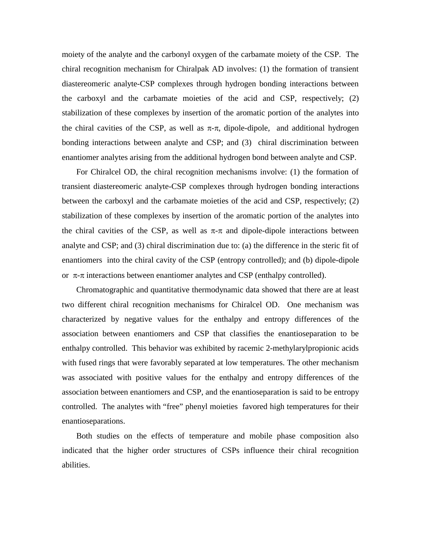moiety of the analyte and the carbonyl oxygen of the carbamate moiety of the CSP. The chiral recognition mechanism for Chiralpak AD involves: (1) the formation of transient diastereomeric analyte-CSP complexes through hydrogen bonding interactions between the carboxyl and the carbamate moieties of the acid and CSP, respectively; (2) stabilization of these complexes by insertion of the aromatic portion of the analytes into the chiral cavities of the CSP, as well as  $\pi$ - $\pi$ , dipole-dipole, and additional hydrogen bonding interactions between analyte and CSP; and (3) chiral discrimination between enantiomer analytes arising from the additional hydrogen bond between analyte and CSP.

 For Chiralcel OD, the chiral recognition mechanisms involve: (1) the formation of transient diastereomeric analyte-CSP complexes through hydrogen bonding interactions between the carboxyl and the carbamate moieties of the acid and CSP, respectively; (2) stabilization of these complexes by insertion of the aromatic portion of the analytes into the chiral cavities of the CSP, as well as  $\pi$ - $\pi$  and dipole-dipole interactions between analyte and CSP; and (3) chiral discrimination due to: (a) the difference in the steric fit of enantiomers into the chiral cavity of the CSP (entropy controlled); and (b) dipole-dipole or  $\pi$ - $\pi$  interactions between enantiomer analytes and CSP (enthalpy controlled).

 Chromatographic and quantitative thermodynamic data showed that there are at least two different chiral recognition mechanisms for Chiralcel OD. One mechanism was characterized by negative values for the enthalpy and entropy differences of the association between enantiomers and CSP that classifies the enantioseparation to be enthalpy controlled. This behavior was exhibited by racemic 2-methylarylpropionic acids with fused rings that were favorably separated at low temperatures. The other mechanism was associated with positive values for the enthalpy and entropy differences of the association between enantiomers and CSP, and the enantioseparation is said to be entropy controlled. The analytes with "free" phenyl moieties favored high temperatures for their enantioseparations.

 Both studies on the effects of temperature and mobile phase composition also indicated that the higher order structures of CSPs influence their chiral recognition abilities.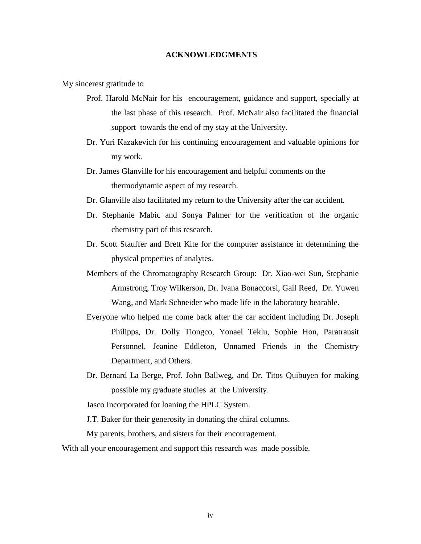#### **ACKNOWLEDGMENTS**

My sincerest gratitude to

- Prof. Harold McNair for his encouragement, guidance and support, specially at the last phase of this research. Prof. McNair also facilitated the financial support towards the end of my stay at the University.
- Dr. Yuri Kazakevich for his continuing encouragement and valuable opinions for my work.
- Dr. James Glanville for his encouragement and helpful comments on the thermodynamic aspect of my research.
- Dr. Glanville also facilitated my return to the University after the car accident.
- Dr. Stephanie Mabic and Sonya Palmer for the verification of the organic chemistry part of this research.
- Dr. Scott Stauffer and Brett Kite for the computer assistance in determining the physical properties of analytes.
- Members of the Chromatography Research Group: Dr. Xiao-wei Sun, Stephanie Armstrong, Troy Wilkerson, Dr. Ivana Bonaccorsi, Gail Reed, Dr. Yuwen Wang, and Mark Schneider who made life in the laboratory bearable.
- Everyone who helped me come back after the car accident including Dr. Joseph Philipps, Dr. Dolly Tiongco, Yonael Teklu, Sophie Hon, Paratransit Personnel, Jeanine Eddleton, Unnamed Friends in the Chemistry Department, and Others.
- Dr. Bernard La Berge, Prof. John Ballweg, and Dr. Titos Quibuyen for making possible my graduate studies at the University.

Jasco Incorporated for loaning the HPLC System.

J.T. Baker for their generosity in donating the chiral columns.

My parents, brothers, and sisters for their encouragement.

With all your encouragement and support this research was made possible.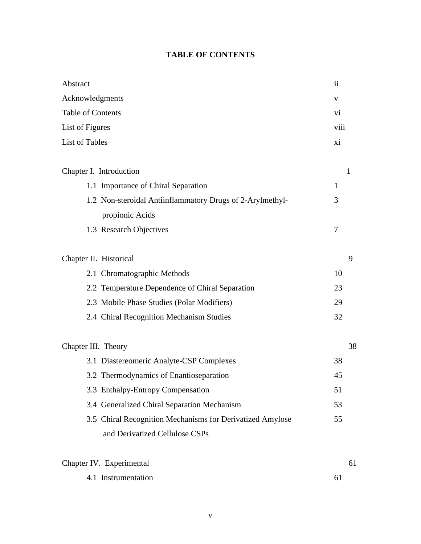## **TABLE OF CONTENTS**

| Abstract                                                  | $\ddot{\rm n}$ |
|-----------------------------------------------------------|----------------|
| Acknowledgments                                           | V              |
| Table of Contents                                         | vi             |
| List of Figures                                           | viii           |
| <b>List of Tables</b>                                     | xi             |
| Chapter I. Introduction                                   | 1              |
| 1.1 Importance of Chiral Separation                       | 1              |
| 1.2 Non-steroidal Antiinflammatory Drugs of 2-Arylmethyl- | 3              |
| propionic Acids                                           |                |
| 1.3 Research Objectives                                   | 7              |
| Chapter II. Historical                                    | 9              |
| 2.1 Chromatographic Methods                               | 10             |
| 2.2 Temperature Dependence of Chiral Separation           | 23             |
| 2.3 Mobile Phase Studies (Polar Modifiers)                | 29             |
| 2.4 Chiral Recognition Mechanism Studies                  | 32             |
| Chapter III. Theory                                       | 38             |
| 3.1 Diastereomeric Analyte-CSP Complexes                  | 38             |
| 3.2 Thermodynamics of Enantioseparation                   | 45             |
| 3.3 Enthalpy-Entropy Compensation                         | 51             |
| 3.4 Generalized Chiral Separation Mechanism               | 53             |
| 3.5 Chiral Recognition Mechanisms for Derivatized Amylose | 55             |
| and Derivatized Cellulose CSPs                            |                |
| Chapter IV. Experimental                                  | 61             |
| 4.1 Instrumentation                                       | 61             |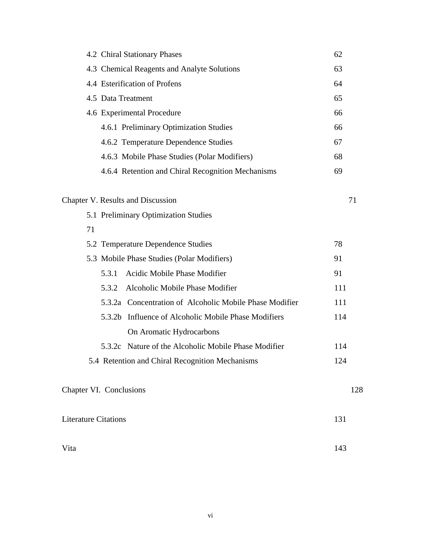|                             | 4.2 Chiral Stationary Phases                                        | 62  |
|-----------------------------|---------------------------------------------------------------------|-----|
|                             | 4.3 Chemical Reagents and Analyte Solutions                         | 63  |
|                             | 4.4 Esterification of Profens                                       | 64  |
|                             | 4.5 Data Treatment                                                  | 65  |
|                             | 4.6 Experimental Procedure                                          | 66  |
|                             | 4.6.1 Preliminary Optimization Studies                              | 66  |
|                             | 4.6.2 Temperature Dependence Studies                                | 67  |
|                             | 4.6.3 Mobile Phase Studies (Polar Modifiers)                        | 68  |
|                             | 4.6.4 Retention and Chiral Recognition Mechanisms                   | 69  |
|                             | Chapter V. Results and Discussion                                   | 71  |
|                             | 5.1 Preliminary Optimization Studies                                |     |
| 71                          |                                                                     |     |
|                             | 5.2 Temperature Dependence Studies                                  | 78  |
|                             | 5.3 Mobile Phase Studies (Polar Modifiers)                          | 91  |
|                             | Acidic Mobile Phase Modifier<br>5.3.1                               | 91  |
|                             | Alcoholic Mobile Phase Modifier<br>5.3.2                            | 111 |
|                             | 5.3.2a Concentration of Alcoholic Mobile Phase Modifier             | 111 |
|                             | Influence of Alcoholic Mobile Phase Modifiers<br>5.3.2 <sub>b</sub> | 114 |
|                             | On Aromatic Hydrocarbons                                            |     |
|                             | 5.3.2c Nature of the Alcoholic Mobile Phase Modifier                | 114 |
|                             | 5.4 Retention and Chiral Recognition Mechanisms                     | 124 |
|                             | Chapter VI. Conclusions                                             | 128 |
| <b>Literature Citations</b> |                                                                     | 131 |
| Vita                        |                                                                     | 143 |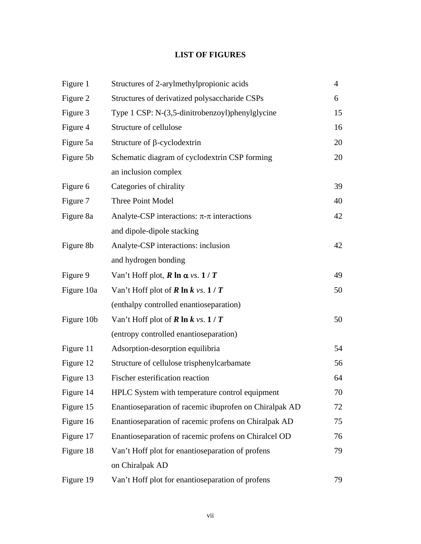## **LIST OF FIGURES**

| Figure 1   | Structures of 2-arylmethylpropionic acids              | $\overline{4}$ |
|------------|--------------------------------------------------------|----------------|
| Figure 2   | Structures of derivatized polysaccharide CSPs          | 6              |
| Figure 3   | Type 1 CSP: N-(3,5-dinitrobenzoyl)phenylglycine        | 15             |
| Figure 4   | Structure of cellulose                                 | 16             |
| Figure 5a  | Structure of $\beta$ -cyclodextrin                     | 20             |
| Figure 5b  | Schematic diagram of cyclodextrin CSP forming          | 20             |
|            | an inclusion complex                                   |                |
| Figure 6   | Categories of chirality                                | 39             |
| Figure 7   | Three Point Model                                      | 40             |
| Figure 8a  | Analyte-CSP interactions: $\pi$ - $\pi$ interactions   | 42             |
|            | and dipole-dipole stacking                             |                |
| Figure 8b  | Analyte-CSP interactions: inclusion                    | 42             |
|            | and hydrogen bonding                                   |                |
| Figure 9   | Van't Hoff plot, $R \ln \alpha$ vs. $1/T$              | 49             |
| Figure 10a | Van't Hoff plot of <b>R</b> ln $k$ vs. $1/T$           | 50             |
|            | (enthalpy controlled enantioseparation)                |                |
| Figure 10b | Van't Hoff plot of <b>R</b> ln $k$ vs. $1/T$           | 50             |
|            | (entropy controlled enantioseparation)                 |                |
| Figure 11  | Adsorption-desorption equilibria                       | 54             |
| Figure 12  | Structure of cellulose trisphenylcarbamate             | 56             |
| Figure 13  | Fischer esterification reaction                        | 64             |
| Figure 14  | HPLC System with temperature control equipment         | 70             |
| Figure 15  | Enantioseparation of racemic ibuprofen on Chiralpak AD | 72             |
| Figure 16  | Enantioseparation of racemic profens on Chiralpak AD   | 75             |
| Figure 17  | Enantioseparation of racemic profens on Chiralcel OD   | 76             |
| Figure 18  | Van't Hoff plot for enantioseparation of profens       | 79             |
|            | on Chiralpak AD                                        |                |
| Figure 19  | Van't Hoff plot for enantioseparation of profens       | 79             |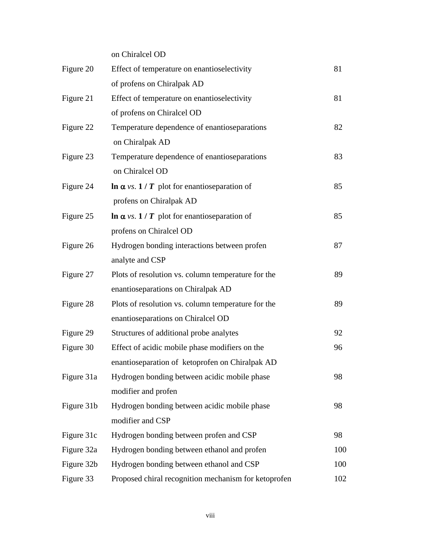on Chiralcel OD

| Figure 20  | Effect of temperature on enantioselectivity          | 81  |
|------------|------------------------------------------------------|-----|
|            | of profens on Chiralpak AD                           |     |
| Figure 21  | Effect of temperature on enantioselectivity          | 81  |
|            | of profens on Chiralcel OD                           |     |
| Figure 22  | Temperature dependence of enantioseparations         | 82  |
|            | on Chiralpak AD                                      |     |
| Figure 23  | Temperature dependence of enantioseparations         | 83  |
|            | on Chiralcel OD                                      |     |
| Figure 24  | $\ln \alpha$ vs. 1 / T plot for enantioseparation of | 85  |
|            | profens on Chiralpak AD                              |     |
| Figure 25  | $\ln \alpha$ vs. 1 / T plot for enantioseparation of | 85  |
|            | profens on Chiralcel OD                              |     |
| Figure 26  | Hydrogen bonding interactions between profen         | 87  |
|            | analyte and CSP                                      |     |
| Figure 27  | Plots of resolution vs. column temperature for the   | 89  |
|            | enantioseparations on Chiralpak AD                   |     |
| Figure 28  | Plots of resolution vs. column temperature for the   | 89  |
|            | enantioseparations on Chiralcel OD                   |     |
| Figure 29  | Structures of additional probe analytes              | 92  |
| Figure 30  | Effect of acidic mobile phase modifiers on the       | 96  |
|            | enantioseparation of ketoprofen on Chiralpak AD      |     |
| Figure 31a | Hydrogen bonding between acidic mobile phase         | 98  |
|            | modifier and profen                                  |     |
| Figure 31b | Hydrogen bonding between acidic mobile phase         | 98  |
|            | modifier and CSP                                     |     |
| Figure 31c | Hydrogen bonding between profen and CSP              | 98  |
| Figure 32a | Hydrogen bonding between ethanol and profen          | 100 |
| Figure 32b | Hydrogen bonding between ethanol and CSP             | 100 |
| Figure 33  | Proposed chiral recognition mechanism for ketoprofen | 102 |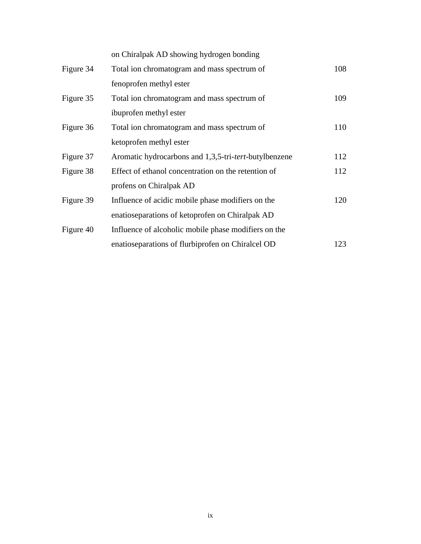|           | on Chiralpak AD showing hydrogen bonding                       |     |
|-----------|----------------------------------------------------------------|-----|
| Figure 34 | Total ion chromatogram and mass spectrum of                    | 108 |
|           | fenoprofen methyl ester                                        |     |
| Figure 35 | Total ion chromatogram and mass spectrum of                    | 109 |
|           | ibuprofen methyl ester                                         |     |
| Figure 36 | Total ion chromatogram and mass spectrum of                    | 110 |
|           | ketoprofen methyl ester                                        |     |
| Figure 37 | Aromatic hydrocarbons and 1,3,5-tri- <i>tert</i> -butylbenzene | 112 |
| Figure 38 | Effect of ethanol concentration on the retention of            | 112 |
|           | profens on Chiralpak AD                                        |     |
| Figure 39 | Influence of acidic mobile phase modifiers on the              | 120 |
|           | enatioseparations of ketoprofen on Chiralpak AD                |     |
| Figure 40 | Influence of alcoholic mobile phase modifiers on the           |     |
|           | enatioseparations of flurbiprofen on Chiralcel OD              | 123 |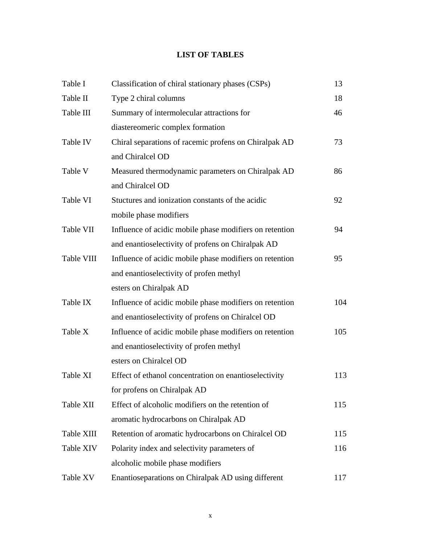## **LIST OF TABLES**

| Table I    | Classification of chiral stationary phases (CSPs)       | 13  |
|------------|---------------------------------------------------------|-----|
| Table II   | Type 2 chiral columns                                   | 18  |
| Table III  | Summary of intermolecular attractions for               | 46  |
|            | diastereomeric complex formation                        |     |
| Table IV   | Chiral separations of racemic profens on Chiralpak AD   | 73  |
|            | and Chiralcel OD                                        |     |
| Table V    | Measured thermodynamic parameters on Chiralpak AD       | 86  |
|            | and Chiralcel OD                                        |     |
| Table VI   | Stuctures and ionization constants of the acidic        | 92  |
|            | mobile phase modifiers                                  |     |
| Table VII  | Influence of acidic mobile phase modifiers on retention | 94  |
|            | and enantioselectivity of profens on Chiralpak AD       |     |
| Table VIII | Influence of acidic mobile phase modifiers on retention | 95  |
|            | and enantioselectivity of profen methyl                 |     |
|            | esters on Chiralpak AD                                  |     |
| Table IX   | Influence of acidic mobile phase modifiers on retention | 104 |
|            | and enantioselectivity of profens on Chiralcel OD       |     |
| Table X    | Influence of acidic mobile phase modifiers on retention | 105 |
|            | and enantioselectivity of profen methyl                 |     |
|            | esters on Chiralcel OD                                  |     |
| Table XI   | Effect of ethanol concentration on enantioselectivity   | 113 |
|            | for profens on Chiralpak AD                             |     |
| Table XII  | Effect of alcoholic modifiers on the retention of       | 115 |
|            | aromatic hydrocarbons on Chiralpak AD                   |     |
| Table XIII | Retention of aromatic hydrocarbons on Chiralcel OD      | 115 |
| Table XIV  | Polarity index and selectivity parameters of            | 116 |
|            | alcoholic mobile phase modifiers                        |     |
| Table XV   | Enantioseparations on Chiralpak AD using different      | 117 |